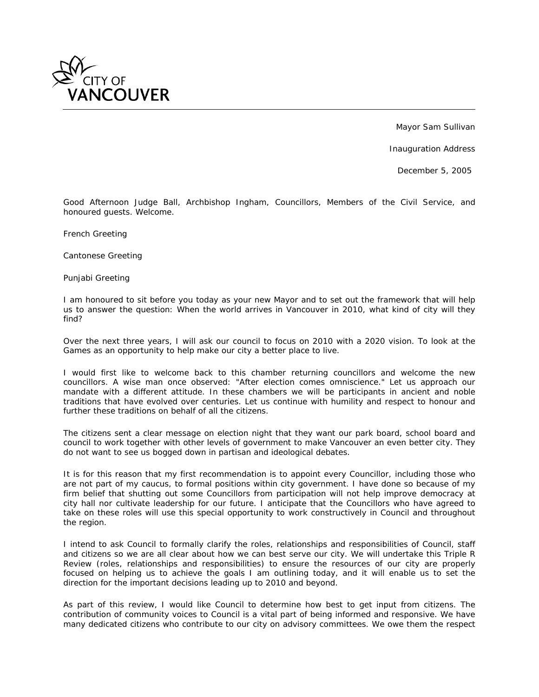

Mayor Sam Sullivan

Inauguration Address

December 5, 2005

*Good Afternoon Judge Ball, Archbishop Ingham, Councillors, Members of the Civil Service, and honoured guests. Welcome.*

*French Greeting*

*Cantonese Greeting*

*Punjabi Greeting*

*I am honoured to sit before you today as your new Mayor and to set out the framework that will help us to answer the question: When the world arrives in Vancouver in 2010, what kind of city will they find?*

*Over the next three years, I will ask our council to focus on 2010 with a 2020 vision. To look at the Games as an opportunity to help make our city a better place to live.*

*I would first like to welcome back to this chamber returning councillors and welcome the new councillors. A wise man once observed: "After election comes omniscience." Let us approach our mandate with a different attitude. In these chambers we will be participants in ancient and noble traditions that have evolved over centuries. Let us continue with humility and respect to honour and further these traditions on behalf of all the citizens.*

*The citizens sent a clear message on election night that they want our park board, school board and council to work together with other levels of government to make Vancouver an even better city. They do not want to see us bogged down in partisan and ideological debates.*

*It is for this reason that my first recommendation is to appoint every Councillor, including those who are not part of my caucus, to formal positions within city government. I have done so because of my*  firm belief that shutting out some Councillors from participation will not help improve democracy at *city hall nor cultivate leadership for our future. I anticipate that the Councillors who have agreed to*  take on these roles will use this special opportunity to work constructively in Council and throughout *the region.*

*I intend to ask Council to formally clarify the roles, relationships and responsibilities of Council, staff and citizens so we are all clear about how we can best serve our city. We will undertake this Triple R Review (roles, relationships and responsibilities) to ensure the resources of our city are properly focused on helping us to achieve the goals I am outlining today, and it will enable us to set the direction for the important decisions leading up to 2010 and beyond.*

*As part of this review, I would like Council to determine how best to get input from citizens. The contribution of community voices to Council is a vital part of being informed and responsive. We have many dedicated citizens who contribute to our city on advisory committees. We owe them the respect*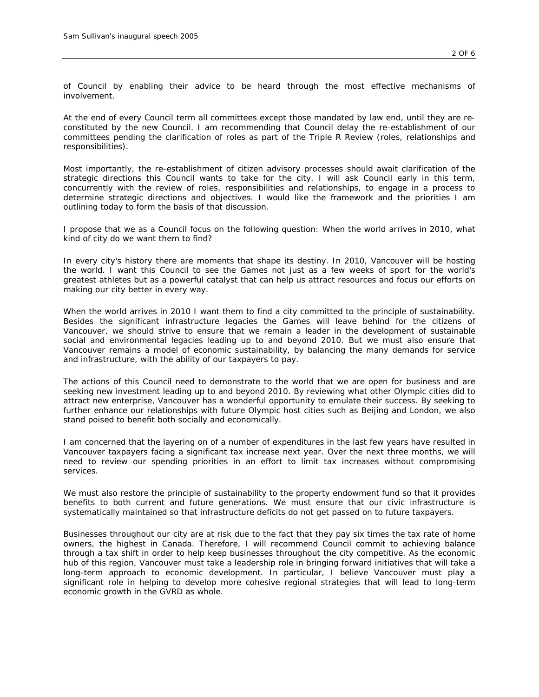*of Council by enabling their advice to be heard through the most effective mechanisms of involvement.*

*At the end of every Council term all committees except those mandated by law end, until they are reconstituted by the new Council. I am recommending that Council delay the re-establishment of our committees pending the clarification of roles as part of the Triple R Review (roles, relationships and responsibilities).*

*Most importantly, the re-establishment of citizen advisory processes should await clarification of the strategic directions this Council wants to take for the city. I will ask Council early in this term, concurrently with the review of roles, responsibilities and relationships, to engage in a process to determine strategic directions and objectives. I would like the framework and the priorities I am outlining today to form the basis of that discussion.*

*I propose that we as a Council focus on the following question: When the world arrives in 2010, what kind of city do we want them to find?*

*In every city's history there are moments that shape its destiny. In 2010, Vancouver will be hosting the world. I want this Council to see the Games not just as a few weeks of sport for the world's greatest athletes but as a powerful catalyst that can help us attract resources and focus our efforts on making our city better in every way.*

*When the world arrives in 2010 I want them to find a city committed to the principle of sustainability. Besides the significant infrastructure legacies the Games will leave behind for the citizens of Vancouver, we should strive to ensure that we remain a leader in the development of sustainable social and environmental legacies leading up to and beyond 2010. But we must also ensure that Vancouver remains a model of economic sustainability, by balancing the many demands for service and infrastructure, with the ability of our taxpayers to pay.*

*The actions of this Council need to demonstrate to the world that we are open for business and are seeking new investment leading up to and beyond 2010. By reviewing what other Olympic cities did to attract new enterprise, Vancouver has a wonderful opportunity to emulate their success. By seeking to further enhance our relationships with future Olympic host cities such as Beijing and London, we also stand poised to benefit both socially and economically.*

*I am concerned that the layering on of a number of expenditures in the last few years have resulted in* Vancouver taxpayers facing a significant tax increase next year. Over the next three months, we will *need to review our spending priorities in an effort to limit tax increases without compromising services.*

*We must also restore the principle of sustainability to the property endowment fund so that it provides benefits to both current and future generations. We must ensure that our civic infrastructure is systematically maintained so that infrastructure deficits do not get passed on to future taxpayers.*

*Businesses throughout our city are at risk due to the fact that they pay six times the tax rate of home owners, the highest in Canada. Therefore, I will recommend Council commit to achieving balance through a tax shift in order to help keep businesses throughout the city competitive. As the economic hub of this region, Vancouver must take a leadership role in bringing forward initiatives that will take a long-term approach to economic development. In particular, I believe Vancouver must play a significant role in helping to develop more cohesive regional strategies that will lead to long-term economic growth in the GVRD as whole.*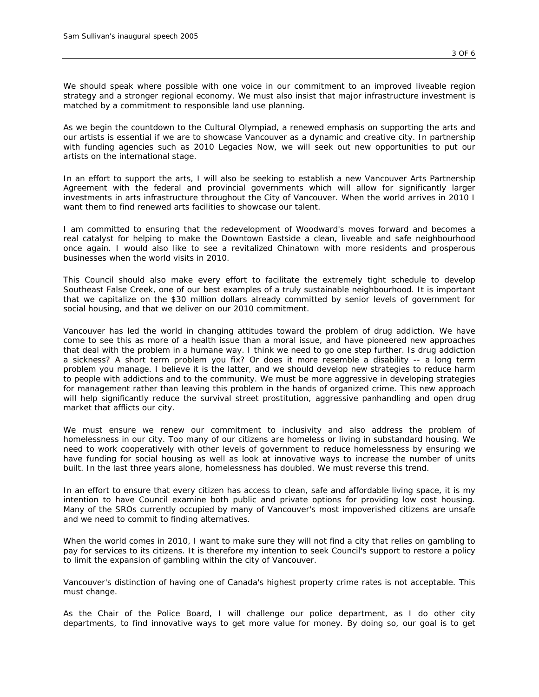*We should speak where possible with one voice in our commitment to an improved liveable region strategy and a stronger regional economy. We must also insist that major infrastructure investment is matched by a commitment to responsible land use planning.*

*As we begin the countdown to the Cultural Olympiad, a renewed emphasis on supporting the arts and our artists is essential if we are to showcase Vancouver as a dynamic and creative city. In partnership with funding agencies such as 2010 Legacies Now, we will seek out new opportunities to put our artists on the international stage.*

*In an effort to support the arts, I will also be seeking to establish a new Vancouver Arts Partnership Agreement with the federal and provincial governments which will allow for significantly larger investments in arts infrastructure throughout the City of Vancouver. When the world arrives in 2010 I want them to find renewed arts facilities to showcase our talent.*

*I am committed to ensuring that the redevelopment of Woodward's moves forward and becomes a real catalyst for helping to make the Downtown Eastside a clean, liveable and safe neighbourhood once again. I would also like to see a revitalized Chinatown with more residents and prosperous businesses when the world visits in 2010.*

This Council should also make every effort to facilitate the extremely tight schedule to develop *Southeast False Creek, one of our best examples of a truly sustainable neighbourhood. It is important that we capitalize on the \$30 million dollars already committed by senior levels of government for social housing, and that we deliver on our 2010 commitment.*

Vancouver has led the world in changing attitudes toward the problem of drug addiction. We have *come to see this as more of a health issue than a moral issue, and have pioneered new approaches that deal with the problem in a humane way. I think we need to go one step further. Is drug addiction a sickness? A short term problem you fix? Or does it more resemble a disability -- a long term problem you manage. I believe it is the latter, and we should develop new strategies to reduce harm to people with addictions and to the community. We must be more aggressive in developing strategies for management rather than leaving this problem in the hands of organized crime. This new approach*  will help significantly reduce the survival street prostitution, aggressive panhandling and open drug *market that afflicts our city.*

We must ensure we renew our commitment to inclusivity and also address the problem of *homelessness in our city. Too many of our citizens are homeless or living in substandard housing. We need to work cooperatively with other levels of government to reduce homelessness by ensuring we have funding for social housing as well as look at innovative ways to increase the number of units built. In the last three years alone, homelessness has doubled. We must reverse this trend.*

*In an effort to ensure that every citizen has access to clean, safe and affordable living space, it is my intention to have Council examine both public and private options for providing low cost housing. Many of the SROs currently occupied by many of Vancouver's most impoverished citizens are unsafe and we need to commit to finding alternatives.*

*When the world comes in 2010, I want to make sure they will not find a city that relies on gambling to pay for services to its citizens. It is therefore my intention to seek Council's support to restore a policy to limit the expansion of gambling within the city of Vancouver.*

*Vancouver's distinction of having one of Canada's highest property crime rates is not acceptable. This must change.*

*As the Chair of the Police Board, I will challenge our police department, as I do other city departments, to find innovative ways to get more value for money. By doing so, our goal is to get*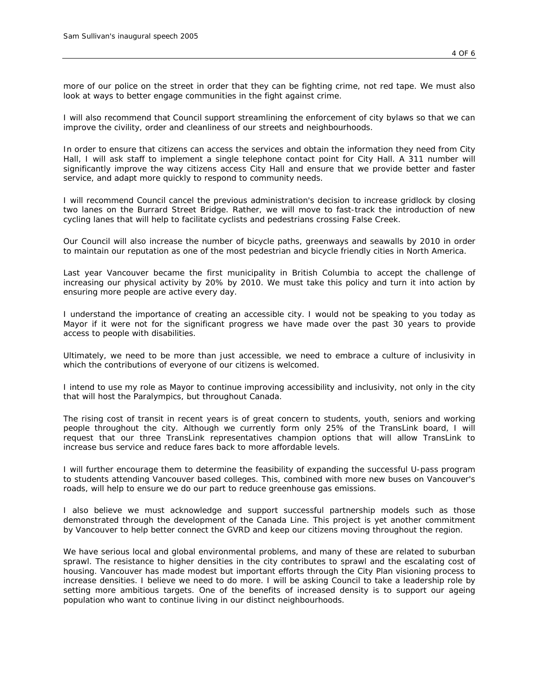*more of our police on the street in order that they can be fighting crime, not red tape. We must also look at ways to better engage communities in the fight against crime.*

*I will also recommend that Council support streamlining the enforcement of city bylaws so that we can improve the civility, order and cleanliness of our streets and neighbourhoods.*

*In order to ensure that citizens can access the services and obtain the information they need from City Hall, I will ask staff to implement a single telephone contact point for City Hall. A 311 number will significantly improve the way citizens access City Hall and ensure that we provide better and faster service, and adapt more quickly to respond to community needs.*

*I* will recommend Council cancel the previous administration's decision to increase gridlock by closing *two lanes on the Burrard Street Bridge. Rather, we will move to fast-track the introduction of new cycling lanes that will help to facilitate cyclists and pedestrians crossing False Creek.*

*Our Council will also increase the number of bicycle paths, greenways and seawalls by 2010 in order to maintain our reputation as one of the most pedestrian and bicycle friendly cities in North America.*

Last year Vancouver became the first municipality in British Columbia to accept the challenge of *increasing our physical activity by 20% by 2010. We must take this policy and turn it into action by ensuring more people are active every day.*

*I understand the importance of creating an accessible city. I would not be speaking to you today as Mayor if it were not for the significant progress we have made over the past 30 years to provide access to people with disabilities.*

*Ultimately, we need to be more than just accessible, we need to embrace a culture of inclusivity in which the contributions of everyone of our citizens is welcomed.*

*I intend to use my role as Mayor to continue improving accessibility and inclusivity, not only in the city that will host the Paralympics, but throughout Canada.*

*The rising cost of transit in recent years is of great concern to students, youth, seniors and working people throughout the city. Although we currently form only 25% of the TransLink board, I will request that our three TransLink representatives champion options that will allow TransLink to increase bus service and reduce fares back to more affordable levels.*

*I will further encourage them to determine the feasibility of expanding the successful U-pass program to students attending Vancouver based colleges. This, combined with more new buses on Vancouver's roads, will help to ensure we do our part to reduce greenhouse gas emissions.*

*I also believe we must acknowledge and support successful partnership models such as those demonstrated through the development of the Canada Line. This project is yet another commitment*  by Vancouver to help better connect the GVRD and keep our citizens moving throughout the *region*.

*We have serious local and global environmental problems, and many of these are related to suburban*  sprawl. The resistance to higher densities in the city contributes to sprawl and the escalating cost of *housing. Vancouver has made modest but important efforts through the City Plan visioning process to increase densities. I believe we need to do more. I will be asking Council to take a leadership role by setting more ambitious targets. One of the benefits of increased density is to support our ageing population who want to continue living in our distinct neighbourhoods.*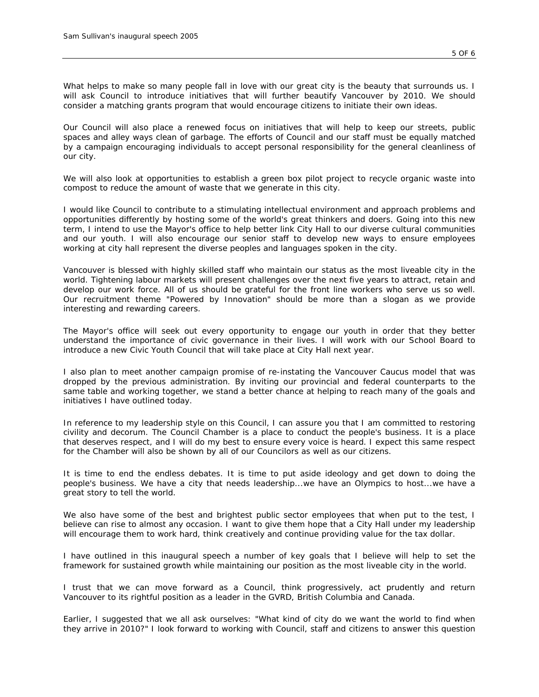*What helps to make so many people fall in love with our great city is the beauty that surrounds us. I will ask Council to introduce initiatives that will further beautify Vancouver by 2010. We should consider a matching grants program that would encourage citizens to initiate their own ideas.*

*Our Council will also place a renewed focus on initiatives that will help to keep our streets, public spaces and alley ways clean of garbage. The efforts of Council and our staff must be equally matched by a campaign encouraging individuals to accept personal responsibility for the general cleanliness of our city.*

*We will also look at opportunities to establish a green box pilot project to recycle organic waste into compost to reduce the amount of waste that we generate in this city.*

*I would like Council to contribute to a stimulating intellectual environment and approach problems and opportunities differently by hosting some of the world's great thinkers and doers. Going into this new term, I intend to use the Mayor's office to help better link City Hall to our diverse cultural communities and our youth. I will also encourage our senior staff to develop new ways to ensure employees working at city hall represent the diverse peoples and languages spoken in the city.*

*Vancouver is blessed with highly skilled staff who maintain our status as the most liveable city in the world. Tightening labour markets will present challenges over the next five years to attract, retain and develop our work force. All of us should be grateful for the front line workers who serve us so well. Our recruitment theme "Powered by Innovation" should be more than a slogan as we provide interesting and rewarding careers.*

*The Mayor's office will seek out every opportunity to engage our youth in order that they better understand the importance of civic governance in their lives. I will work with our School Board to introduce a new Civic Youth Council that will take place at City Hall next year.*

*I also plan to meet another campaign promise of re-instating the Vancouver Caucus model that was dropped by the previous administration. By inviting our provincial and federal counterparts to the same table and working together, we stand a better chance at helping to reach many of the goals and initiatives I have outlined today.*

*In reference to my leadership style on this Council, I can assure you that I am committed to restoring civility and decorum. The Council Chamber is a place to conduct the people's business. It is a place that deserves respect, and I will do my best to ensure every voice is heard. I expect this same respect for the Chamber will also be shown by all of our Councilors as well as our citizens.*

*It is time to end the endless debates. It is time to put aside ideology and get down to doing the people's business. We have a city that needs leadership...we have an Olympics to host...we have a great story to tell the world.*

*We also have some of the best and brightest public sector employees that when put to the test, I believe can rise to almost any occasion. I want to give them hope that a City Hall under my leadership will encourage them to work hard, think creatively and continue providing value for the tax dollar.*

*I have outlined in this inaugural speech a number of key goals that I believe will help to set the framework for sustained growth while maintaining our position as the most liveable city in the world.*

*I trust that we can move forward as a Council, think progressively, act prudently and return Vancouver to its rightful position as a leader in the GVRD, British Columbia and Canada.*

*Earlier, I suggested that we all ask ourselves: "What kind of city do we want the world to find when they arrive in 2010?" I look forward to working with Council, staff and citizens to answer this question*